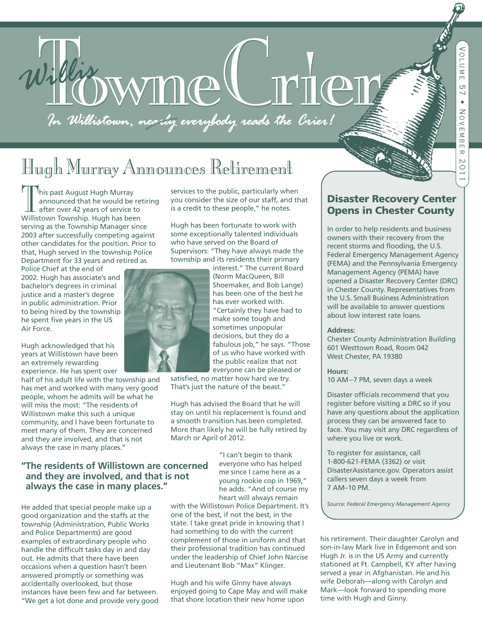# 1. With WMMC MTCT

# Hugh Murray Announces Retirement

Inis past August Hugh Murray announced that he would be retiring after over 42 years of service to Willistown Township. Hugh has been serving as the Township Manager since 2003 after successfully competing against other candidates for the position. Prior to that, Hugh served in the township Police Department for 33 years and retired as

Police Chief at the end of 2002. Hugh has associate's and bachelor's degrees in criminal justice and a master's degree in public administration. Prior to being hired by the township he spent five years in the US Air Force.

Hugh acknowledged that his years at Willistown have been an extremely rewarding experience. He has spent over

half of his adult life with the township and has met and worked with many very good people, whom he admits will be what he will miss the most: "The residents of Willistown make this such a unique community, and I have been fortunate to meet many of them. They are concerned and they are involved, and that is not always the case in many places."

#### **"The residents of Willistown are concerned and they are involved, and that is not always the case in many places."**

He added that special people make up a good organization and the staffs at the township (Administration, Public Works and Police Departments) are good examples of extraordinary people who handle the difficult tasks day in and day out. He admits that there have been occasions when a question hasn't been answered promptly or something was accidentally overlooked, but those instances have been few and far between. "We get a lot done and provide very good services to the public, particularly when you consider the size of our staff, and that is a credit to these people," he notes.

Hugh has been fortunate to work with some exceptionally talented individuals who have served on the Board of Supervisors: "They have always made the township and its residents their primary



interest." The current Board (Norm MacQueen, Bill Shoemaker, and Bob Lange) has been one of the best he has ever worked with. "Certainly they have had to make some tough and sometimes unpopular decisions, but they do a fabulous job," he says. "Those of us who have worked with the public realize that not everyone can be pleased or

satisfied, no matter how hard we try. That's just the nature of the beast."

Hugh has advised the Board that he will stay on until his replacement is found and a smooth transition has been completed. More than likely he will be fully retired by March or April of 2012.

> "I can't begin to thank everyone who has helped me since I came here as a young rookie cop in 1969," he adds. "And of course my heart will always remain

with the Willistown Police Department. It's one of the best, if not the best, in the state. I take great pride in knowing that I had something to do with the current complement of those in uniform and that their professional tradition has continued under the leadership of Chief John Narcise and Lieutenant Bob "Max" Klinger.

Hugh and his wife Ginny have always enjoyed going to Cape May and will make that shore location their new home upon

#### **Disaster Recovery Center Opens in Chester County**

In order to help residents and business owners with their recovery from the recent storms and flooding, the U.S. Federal Emergency Management Agency (FEMA) and the Pennsylvania Emergency Management Agency (PEMA) have opened a Disaster Recovery Center (DRC) in Chester County. Representatives from the U.S. Small Business Administration will be available to answer questions about low interest rate loans.

#### **Address:**

Chester County Administration Building 601 Westtown Road, Room 042 West Chester, PA 19380

#### **Hours:**

10 AM –7 PM, seven days a week

Disaster officials recommend that you register before visiting a DRC so if you have any questions about the application process they can be answered face to face. You may visit any DRC regardless of where you live or work.

To register for assistance, call 1-800-621-FEMA (3362) or visit DisasterAssistance.gov. Operators assist callers seven days a week from 7 AM–10 PM.

*Source: Federal Emergency Management Agency*

his retirement. Their daughter Carolyn and son-in-law Mark live in Edgemont and son Hugh Jr. is in the US Army and currently stationed at Ft. Campbell, KY after having served a year in Afghanistan. He and his wife Deborah—along with Carolyn and Mark—look forward to spending more time with Hugh and Ginny.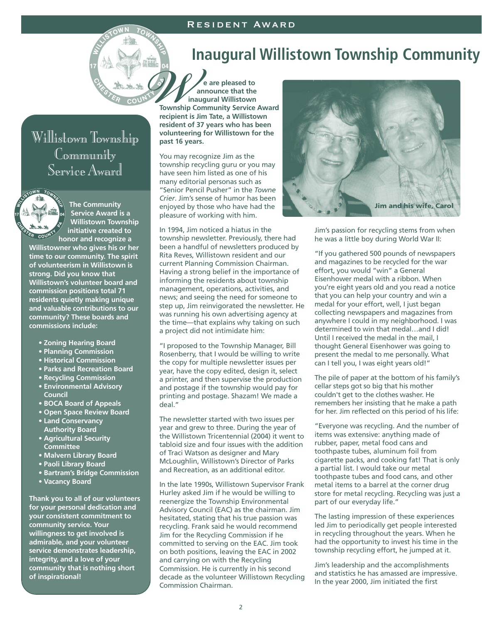#### Resident Award



# **Inaugural Willistown Township Community**

**e are pleased to announce that the inaugural Willistown Township Community Service Award recipient is Jim Tate, a Willistown resident of 37 years who has been volunteering for Willistown for the past 16 years.** WEBUT OF THE CONTRACT OF THE CONTRACT OF THE CONTRACT OF THE CONTRACT OF THE CONTRACT OF THE CONTRACT OF THE CONTRACT OF THE CONTRACT OF THE CONTRACT OF THE CONTRACT OF THE CONTRACT OF THE CONTRACT OF THE CONTRACT OF THE C

> You may recognize Jim as the township recycling guru or you may have seen him listed as one of his many editorial personas such as "Senior Pencil Pusher" in the *Towne Crier*. Jim's sense of humor has been enjoyed by those who have had the pleasure of working with him.

In 1994, Jim noticed a hiatus in the township newsletter. Previously, there had been a handful of newsletters produced by Rita Reves, Willistown resident and our current Planning Commission Chairman. Having a strong belief in the importance of informing the residents about township management, operations, activities, and news; and seeing the need for someone to step up, Jim reinvigorated the newsletter. He was running his own advertising agency at the time—that explains why taking on such a project did not intimidate him:

"I proposed to the Township Manager, Bill Rosenberry, that I would be willing to write the copy for multiple newsletter issues per year, have the copy edited, design it, select a printer, and then supervise the production and postage if the township would pay for printing and postage. Shazam! We made a deal."

The newsletter started with two issues per year and grew to three. During the year of the Willistown Tricentennial (2004) it went to tabloid size and four issues with the addition of Traci Watson as designer and Mary McLoughlin, Willistown's Director of Parks and Recreation, as an additional editor.

In the late 1990s, Willistown Supervisor Frank Hurley asked Jim if he would be willing to reenergize the Township Environmental Advisory Council (EAC) as the chairman. Jim hesitated, stating that his true passion was recycling. Frank said he would recommend Jim for the Recycling Commission if he committed to serving on the EAC. Jim took on both positions, leaving the EAC in 2002 and carrying on with the Recycling Commission. He is currently in his second decade as the volunteer Willistown Recycling Commission Chairman.



Jim's passion for recycling stems from when he was a little boy during World War II:

"If you gathered 500 pounds of newspapers and magazines to be recycled for the war effort, you would "win" a General Eisenhower medal with a ribbon. When you're eight years old and you read a notice that you can help your country and win a medal for your effort, well, I just began collecting newspapers and magazines from anywhere I could in my neighborhood. I was determined to win that medal…and I did! Until I received the medal in the mail, I thought General Eisenhower was going to present the medal to me personally. What can I tell you, I was eight years old!"

The pile of paper at the bottom of his family's cellar steps got so big that his mother couldn't get to the clothes washer. He remembers her insisting that he make a path for her. Jim reflected on this period of his life:

"Everyone was recycling. And the number of items was extensive: anything made of rubber, paper, metal food cans and toothpaste tubes, aluminum foil from cigarette packs, and cooking fat! That is only a partial list. I would take our metal toothpaste tubes and food cans, and other metal items to a barrel at the corner drug store for metal recycling. Recycling was just a part of our everyday life."

The lasting impression of these experiences led Jim to periodically get people interested in recycling throughout the years. When he had the opportunity to invest his time in the township recycling effort, he jumped at it.

Jim's leadership and the accomplishments and statistics he has amassed are impressive. In the year 2000, Jim initiated the first

## Willistown Township Community Service Award

TOWN TOW **The Community**

**Service Award is a Willistown Township initiative created to honor and recognize a**

**Willistowner who gives his or her time to our community. The spirit of volunteerism in Willistown is strong. Did you know that Willistown's volunteer board and commission positions total 71 residents quietly making unique and valuable contributions to our community? These boards and commissions include:**

- **Zoning Hearing Board**
- **Planning Commission**
- **Historical Commission**
- **Parks and Recreation Board**
- **Recycling Commission**
- **Environmental Advisory**
- **Council**
- **BOCA Board of Appeals**
- **Open Space Review Board • Land Conservancy**
- **Authority Board • Agricultural Security**
- **Committee**
- **Malvern Library Board**
- **Paoli Library Board**
- **Bartram's Bridge Commission**
- **Vacancy Board**

**Thank you to all of our volunteers for your personal dedication and your consistent commitment to community service. Your willingness to get involved is admirable, and your volunteer service demonstrates leadership, integrity, and a love of your community that is nothing short of inspirational!**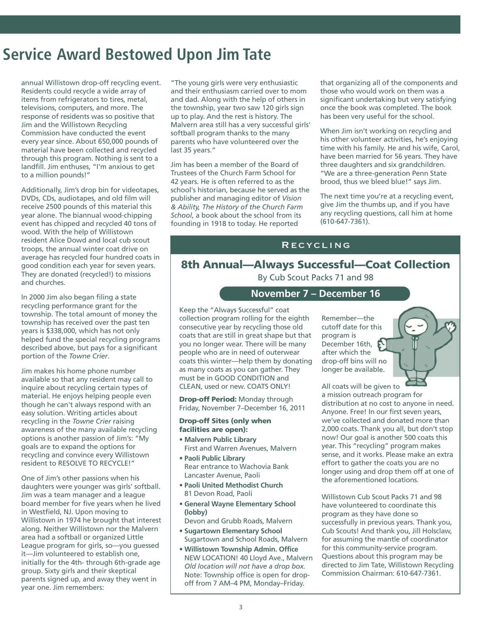# **Service Award Bestowed Upon Jim Tate**

annual Willistown drop-off recycling event. Residents could recycle a wide array of items from refrigerators to tires, metal, televisions, computers, and more. The response of residents was so positive that Jim and the Willistown Recycling Commission have conducted the event every year since. About 650,000 pounds of material have been collected and recycled through this program. Nothing is sent to a landfill. Jim enthuses, "I'm anxious to get to a million pounds!"

Additionally, Jim's drop bin for videotapes, DVDs, CDs, audiotapes, and old film will receive 2500 pounds of this material this year alone. The biannual wood-chipping event has chipped and recycled 40 tons of wood. With the help of Willistown resident Alice Dowd and local cub scout troops, the annual winter coat drive on average has recycled four hundred coats in good condition each year for seven years. They are donated (recycled!) to missions and churches.

In 2000 Jim also began filing a state recycling performance grant for the township. The total amount of money the township has received over the past ten years is \$338,000, which has not only helped fund the special recycling programs described above, but pays for a significant portion of the *Towne Crier*.

Jim makes his home phone number available so that any resident may call to inquire about recycling certain types of material. He enjoys helping people even though he can't always respond with an easy solution. Writing articles about recycling in the *Towne Crier* raising awareness of the many available recycling options is another passion of Jim's: "My goals are to expand the options for recycling and convince every Willistown resident to RESOLVE TO RECYCLE!"

One of Jim's other passions when his daughters were younger was girls' softball. Jim was a team manager and a league board member for five years when he lived in Westfield, NJ. Upon moving to Willistown in 1974 he brought that interest along. Neither Willistown nor the Malvern area had a softball or organized Little League program for girls, so—you guessed it—Jim volunteered to establish one, initially for the 4th- through 6th-grade age group. Sixty girls and their skeptical parents signed up, and away they went in year one. Jim remembers:

"The young girls were very enthusiastic and their enthusiasm carried over to mom and dad. Along with the help of others in the township, year two saw 120 girls sign up to play. And the rest is history. The Malvern area still has a very successful girls' softball program thanks to the many parents who have volunteered over the last 35 years."

Jim has been a member of the Board of Trustees of the Church Farm School for 42 years. He is often referred to as the school's historian, because he served as the publisher and managing editor of *Vision & Ability, The History of the Church Farm School*, a book about the school from its founding in 1918 to today. He reported

that organizing all of the components and those who would work on them was a significant undertaking but very satisfying once the book was completed. The book has been very useful for the school.

When Jim isn't working on recycling and his other volunteer activities, he's enjoying time with his family. He and his wife, Carol, have been married for 56 years. They have three daughters and six grandchildren. "We are a three-generation Penn State brood, thus we bleed blue!" says Jim.

The next time you're at a recycling event, give Jim the thumbs up, and if you have any recycling questions, call him at home (610-647-7361).

#### Recycling

#### **8th Annual—Always Successful—Coat Collection** By Cub Scout Packs 71 and 98

**November 7 – December 16**

Keep the "Always Successful" coat collection program rolling for the eighth consecutive year by recycling those old coats that are still in great shape but that you no longer wear. There will be many people who are in need of outerwear coats this winter—help them by donating as many coats as you can gather. They must be in GOOD CONDITION and CLEAN, used or new. COATS ONLY!

**Drop-off Period:** Monday through Friday, November 7–December 16, 2011

#### **Drop-off Sites (only when facilities are open):**

- **Malvern Public Library** First and Warren Avenues, Malvern
- **Paoli Public Library** Rear entrance to Wachovia Bank Lancaster Avenue, Paoli
- **Paoli United Methodist Church** 81 Devon Road, Paoli
- **General Wayne Elementary School (lobby)**
- Devon and Grubb Roads, Malvern
- **Sugartown Elementary School** Sugartown and School Roads, Malvern
- **Willistown Township Admin. Office** NEW LOCATION! 40 Lloyd Ave., Malvern *Old location will not have a drop box.* Note: Township office is open for dropoff from 7 AM–4 PM, Monday–Friday.

Remember—the cutoff date for this program is December 16th, after which the drop-off bins will no longer be available.

All coats will be given to a mission outreach program for distribution at no cost to anyone in need. Anyone. Free! In our first seven years, we've collected and donated more than 2,000 coats. Thank you all, but don't stop now! Our goal is another 500 coats this year. This "recycling" program makes sense, and it works. Please make an extra effort to gather the coats you are no longer using and drop them off at one of the aforementioned locations.

Willistown Cub Scout Packs 71 and 98 have volunteered to coordinate this program as they have done so successfully in previous years. Thank you, Cub Scouts! And thank you, Jill Holsclaw, for assuming the mantle of coordinator for this community-service program. Questions about this program may be directed to Jim Tate, Willistown Recycling Commission Chairman: 610-647-7361.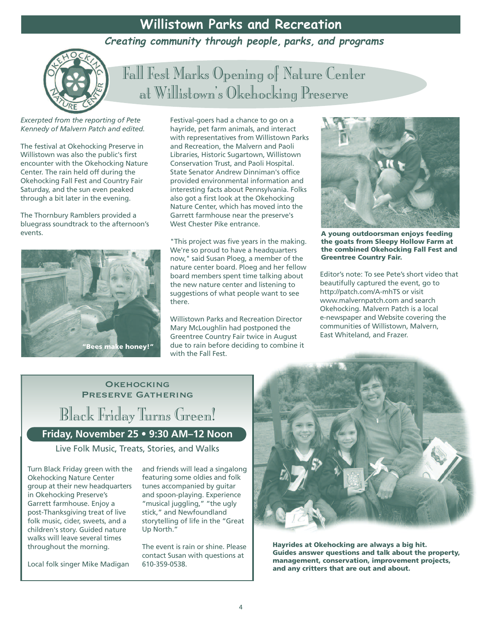## **Willistown Parks and Recreation**

**Creating community through people, parks, and programs**



Fall Fest Marks Opening of Nature Center at Willistown's Okehocking Preserve

*Excerpted from the reporting of Pete Kennedy of Malvern Patch and edited.*

The festival at Okehocking Preserve in Willistown was also the public's first encounter with the Okehocking Nature Center. The rain held off during the Okehocking Fall Fest and Country Fair Saturday, and the sun even peaked through a bit later in the evening.

The Thornbury Ramblers provided a bluegrass soundtrack to the afternoon's events.



Festival-goers had a chance to go on a hayride, pet farm animals, and interact with representatives from Willistown Parks and Recreation, the Malvern and Paoli Libraries, Historic Sugartown, Willistown Conservation Trust, and Paoli Hospital. State Senator Andrew Dinniman's office provided environmental information and interesting facts about Pennsylvania. Folks also got a first look at the Okehocking Nature Center, which has moved into the Garrett farmhouse near the preserve's West Chester Pike entrance.

"This project was five years in the making. We're so proud to have a headquarters now," said Susan Ploeg, a member of the nature center board. Ploeg and her fellow board members spent time talking about the new nature center and listening to suggestions of what people want to see there.

Willistown Parks and Recreation Director Mary McLoughlin had postponed the Greentree Country Fair twice in August due to rain before deciding to combine it with the Fall Fest.



**A young outdoorsman enjoys feeding the goats from Sleepy Hollow Farm at the combined Okehocking Fall Fest and Greentree Country Fair.**

Editor's note: To see Pete's short video that beautifully captured the event, go to http://patch.com/A-mhTS or visit www.malvernpatch.com and search Okehocking. Malvern Patch is a local e-newspaper and Website covering the communities of Willistown, Malvern, East Whiteland, and Frazer.

#### **OKEHOCKING** Preserve Gathering

Black Friday Turns Green!

**Friday, November 25 • 9:30 AM–12 Noon**

Live Folk Music, Treats, Stories, and Walks

Turn Black Friday green with the Okehocking Nature Center group at their new headquarters in Okehocking Preserve's Garrett farmhouse. Enjoy a post-Thanksgiving treat of live folk music, cider, sweets, and a children's story. Guided nature walks will leave several times throughout the morning.

Local folk singer Mike Madigan

and friends will lead a singalong featuring some oldies and folk tunes accompanied by guitar and spoon-playing. Experience "musical juggling," "the ugly stick," and Newfoundland storytelling of life in the "Great Up North."

The event is rain or shine. Please contact Susan with questions at 610-359-0538.



**Hayrides at Okehocking are always a big hit. Guides answer questions and talk about the property, management, conservation, improvement projects, and any critters that are out and about.**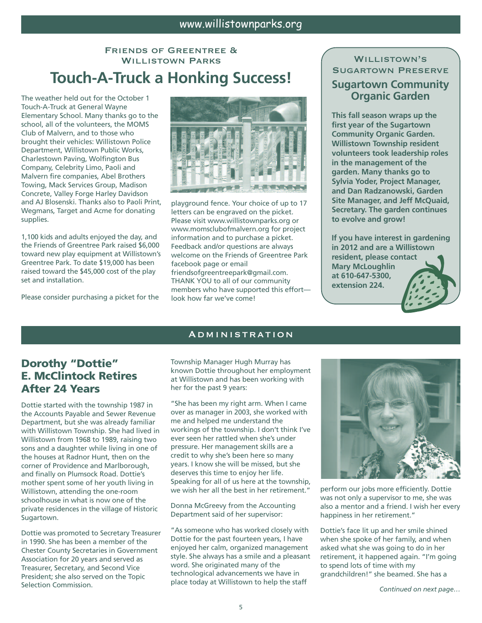#### Friends of Greentree & Willistown Parks **Touch-A-Truck a Honking Success!**

The weather held out for the October 1 Touch-A-Truck at General Wayne Elementary School. Many thanks go to the school, all of the volunteers, the MOMS Club of Malvern, and to those who brought their vehicles: Willistown Police Department, Willistown Public Works, Charlestown Paving, Wolfington Bus Company, Celebrity Limo, Paoli and Malvern fire companies, Abel Brothers Towing, Mack Services Group, Madison Concrete, Valley Forge Harley Davidson and AJ Blosenski. Thanks also to Paoli Print, Wegmans, Target and Acme for donating supplies.

1,100 kids and adults enjoyed the day, and the Friends of Greentree Park raised \$6,000 toward new play equipment at Willistown's Greentree Park. To date \$19,000 has been raised toward the \$45,000 cost of the play set and installation.

Please consider purchasing a picket for the



playground fence. Your choice of up to 17 letters can be engraved on the picket. Please visit www.willistownparks.org or www.momsclubofmalvern.org for project information and to purchase a picket. Feedback and/or questions are always welcome on the Friends of Greentree Park facebook page or email friendsofgreentreepark@gmail.com. THANK YOU to all of our community

members who have supported this effort look how far we've come!

#### WILLISTOWN'S Sugartown Preserve

#### **Sugartown Community Organic Garden**

**This fall season wraps up the first year of the Sugartown Community Organic Garden. Willistown Township resident volunteers took leadership roles in the management of the garden. Many thanks go to Sylvia Yoder, Project Manager, and Dan Radzanowski, Garden Site Manager, and Jeff McQuaid, Secretary. The garden continues to evolve and grow!**

**If you have interest in gardening in 2012 and are a Willistown resident, please contact Mary McLoughlin at 610-647-5300, extension 224.**

#### Administration

#### **Dorothy "Dottie" E. McClintock Retires After 24 Years**

Dottie started with the township 1987 in the Accounts Payable and Sewer Revenue Department, but she was already familiar with Willistown Township. She had lived in Willistown from 1968 to 1989, raising two sons and a daughter while living in one of the houses at Radnor Hunt, then on the corner of Providence and Marlborough, and finally on Plumsock Road. Dottie's mother spent some of her youth living in Willistown, attending the one-room schoolhouse in what is now one of the private residences in the village of Historic Sugartown.

Dottie was promoted to Secretary Treasurer in 1990. She has been a member of the Chester County Secretaries in Government Association for 20 years and served as Treasurer, Secretary, and Second Vice President; she also served on the Topic Selection Commission.

Township Manager Hugh Murray has known Dottie throughout her employment at Willistown and has been working with her for the past 9 years:

"She has been my right arm. When I came over as manager in 2003, she worked with me and helped me understand the workings of the township. I don't think I've ever seen her rattled when she's under pressure. Her management skills are a credit to why she's been here so many years. I know she will be missed, but she deserves this time to enjoy her life. Speaking for all of us here at the township, we wish her all the best in her retirement."

Donna McGreevy from the Accounting Department said of her supervisor:

"As someone who has worked closely with Dottie for the past fourteen years, I have enjoyed her calm, organized management style. She always has a smile and a pleasant word. She originated many of the technological advancements we have in place today at Willistown to help the staff



perform our jobs more efficiently. Dottie was not only a supervisor to me, she was also a mentor and a friend. I wish her every happiness in her retirement."

Dottie's face lit up and her smile shined when she spoke of her family, and when asked what she was going to do in her retirement, it happened again. "I'm going to spend lots of time with my grandchildren!" she beamed. She has a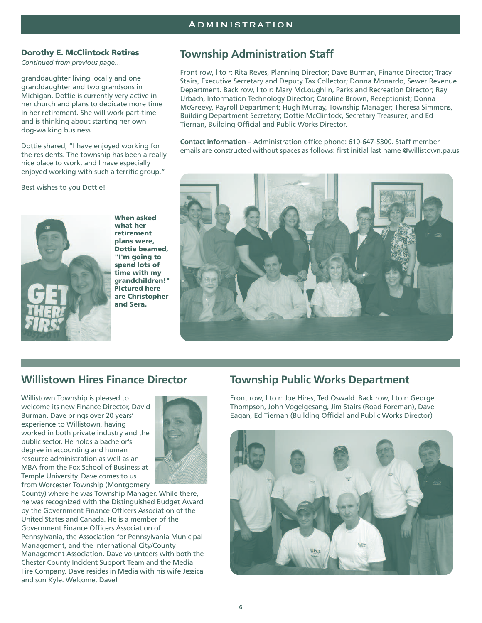#### **Dorothy E. McClintock Retires**

*Continued from previous page…*

granddaughter living locally and one granddaughter and two grandsons in Michigan. Dottie is currently very active in her church and plans to dedicate more time in her retirement. She will work part-time and is thinking about starting her own dog-walking business.

Dottie shared, "I have enjoyed working for the residents. The township has been a really nice place to work, and I have especially enjoyed working with such a terrific group."

Best wishes to you Dottie!



**what her retirement plans were, Dottie beamed, "I'm going to spend lots of time with my grandchildren!" Pictured here are Christopher and Sera.**

**When asked**

#### **Township Administration Staff**

Front row, l to r: Rita Reves, Planning Director; Dave Burman, Finance Director; Tracy Stairs, Executive Secretary and Deputy Tax Collector; Donna Monardo, Sewer Revenue Department. Back row, l to r: Mary McLoughlin, Parks and Recreation Director; Ray Urbach, Information Technology Director; Caroline Brown, Receptionist; Donna McGreevy, Payroll Department; Hugh Murray, Township Manager; Theresa Simmons, Building Department Secretary; Dottie McClintock, Secretary Treasurer; and Ed Tiernan, Building Official and Public Works Director.

**Contact information –** Administration office phone: 610-647-5300. Staff member emails are constructed without spaces as follows: first initial last name @willistown.pa.us



#### **Willistown Hires Finance Director**

Willistown Township is pleased to welcome its new Finance Director, David Burman. Dave brings over 20 years' experience to Willistown, having worked in both private industry and the public sector. He holds a bachelor's degree in accounting and human resource administration as well as an MBA from the Fox School of Business at Temple University. Dave comes to us from Worcester Township (Montgomery



County) where he was Township Manager. While there, he was recognized with the Distinguished Budget Award by the Government Finance Officers Association of the United States and Canada. He is a member of the Government Finance Officers Association of Pennsylvania, the Association for Pennsylvania Municipal Management, and the International City/County Management Association. Dave volunteers with both the Chester County Incident Support Team and the Media Fire Company. Dave resides in Media with his wife Jessica and son Kyle. Welcome, Dave!

#### **Township Public Works Department**

Front row, l to r: Joe Hires, Ted Oswald. Back row, l to r: George Thompson, John Vogelgesang, Jim Stairs (Road Foreman), Dave Eagan, Ed Tiernan (Building Official and Public Works Director)

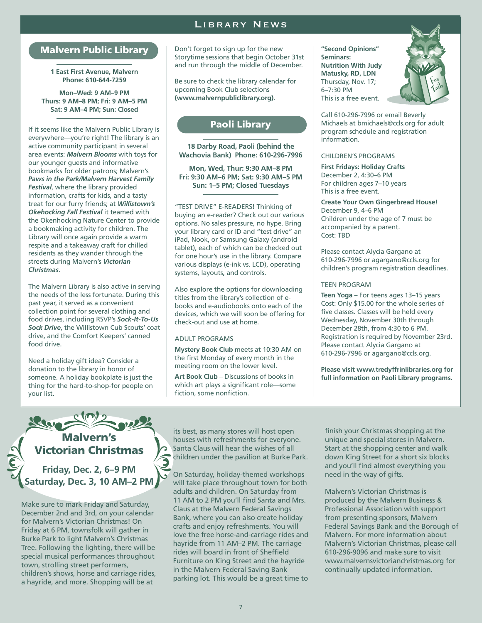#### Library News

#### **Malvern Public Library**

**1 East First Avenue, Malvern Phone: 610-644-7259**

**Mon–Wed: 9 AM–9 PM Thurs: 9 AM–8 PM; Fri: 9 AM–5 PM Sat: 9 AM–4 PM; Sun: Closed**

If it seems like the Malvern Public Library is everywhere—you're right! The library is an active community participant in several area events: *Malvern Blooms* with toys for our younger guests and informative bookmarks for older patrons; Malvern's *Paws in the Park/Malvern Harvest Family Festival*, where the library provided information, crafts for kids, and a tasty treat for our furry friends; at *Willistown's Okehocking Fall Festival* it teamed with the Okenhocking Nature Center to provide a bookmaking activity for children. The Library will once again provide a warm respite and a takeaway craft for chilled residents as they wander through the streets during Malvern's *Victorian Christmas*.

The Malvern Library is also active in serving the needs of the less fortunate. During this past year, it served as a convenient collection point for several clothing and food drives, including RSVP's *Sock-It-To-Us Sock Drive*, the Willistown Cub Scouts' coat drive, and the Comfort Keepers' canned food drive.

Need a holiday gift idea? Consider a donation to the library in honor of someone. A holiday bookplate is just the thing for the hard-to-shop-for people on your list.

Don't forget to sign up for the new Storytime sessions that begin October 31st and run through the middle of December.

Be sure to check the library calendar for upcoming Book Club selections **(www.malvernpubliclibrary.org)**.

#### **Paoli Library**

**18 Darby Road, Paoli (behind the Wachovia Bank) Phone: 610-296-7996**

**Mon, Wed, Thur: 9:30 AM–8 PM Fri: 9:30 AM–6 PM; Sat: 9:30 AM–5 PM Sun: 1–5 PM; Closed Tuesdays**

"TEST DRIVE" E-READERS! Thinking of buying an e-reader? Check out our various options. No sales pressure, no hype. Bring your library card or ID and "test drive" an iPad, Nook, or Samsung Galaxy (android tablet), each of which can be checked out for one hour's use in the library. Compare various displays (e-ink vs. LCD), operating systems, layouts, and controls.

Also explore the options for downloading titles from the library's collection of ebooks and e-audiobooks onto each of the devices, which we will soon be offering for check-out and use at home.

#### ADULT PROGRAMS

**Mystery Book Club** meets at 10:30 AM on the first Monday of every month in the meeting room on the lower level.

**Art Book Club** – Discussions of books in which art plays a significant role—some fiction, some nonfiction.

**"Second Opinions" Seminars: Nutrition With Judy Matusky, RD, LDN** Thursday, Nov. 17; 6–7:30 PM This is a free event.



Call 610-296-7996 or email Beverly Michaels at bmichaels@ccls.org for adult program schedule and registration information.

#### CHILDREN'S PROGRAMS

**First Fridays: Holiday Crafts** December 2, 4:30–6 PM For children ages 7–10 years This is a free event.

**Create Your Own Gingerbread House!** December 9, 4–6 PM Children under the age of 7 must be accompanied by a parent. Cost: TBD

Please contact Alycia Gargano at 610-296-7996 or agargano@ccls.org for children's program registration deadlines.

#### TEEN PROGRAM

**Teen Yoga** – For teens ages 13–15 years Cost: Only \$15.00 for the whole series of five classes. Classes will be held every Wednesday, November 30th through December 28th, from 4:30 to 6 PM. Registration is required by November 23rd. Please contact Alycia Gargano at 610-296-7996 or agargano@ccls.org.

**Please visit www.tredyffrinlibraries.org for full information on Paoli Library programs.**

**Malvern's Victorian Christmas**

**Friday, Dec. 2, 6–9 PM Saturday, Dec. 3, 10 AM–2 PM**

Make sure to mark Friday and Saturday, December 2nd and 3rd, on your calendar for Malvern's Victorian Christmas! On Friday at 6 PM, townsfolk will gather in Burke Park to light Malvern's Christmas Tree. Following the lighting, there will be special musical performances throughout town, strolling street performers, children's shows, horse and carriage rides, a hayride, and more. Shopping will be at

its best, as many stores will host open houses with refreshments for everyone. Santa Claus will hear the wishes of all children under the pavilion at Burke Park.

On Saturday, holiday-themed workshops will take place throughout town for both adults and children. On Saturday from 11 AM to 2 PM you'll find Santa and Mrs. Claus at the Malvern Federal Savings Bank, where you can also create holiday crafts and enjoy refreshments. You will love the free horse-and-carriage rides and hayride from 11 AM–2 PM. The carriage rides will board in front of Sheffield Furniture on King Street and the hayride in the Malvern Federal Saving Bank parking lot. This would be a great time to

finish your Christmas shopping at the unique and special stores in Malvern. Start at the shopping center and walk down King Street for a short six blocks and you'll find almost everything you need in the way of gifts.

Malvern's Victorian Christmas is produced by the Malvern Business & Professional Association with support from presenting sponsors, Malvern Federal Savings Bank and the Borough of Malvern. For more information about Malvern's Victorian Christmas, please call 610-296-9096 and make sure to visit www.malvernsvictorianchristmas.org for continually updated information.